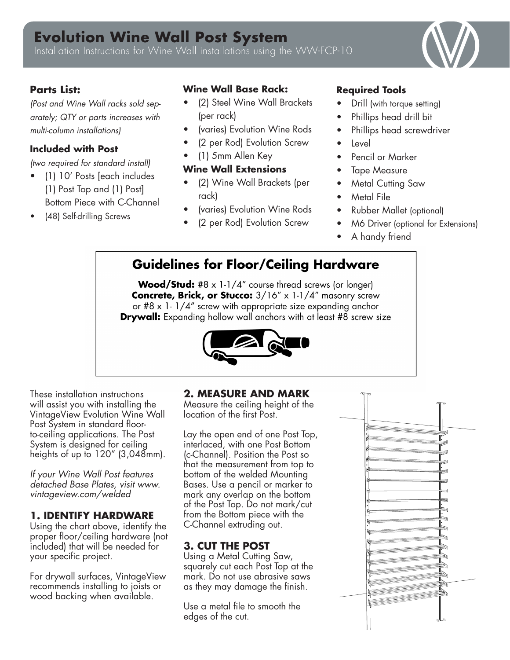# **Evolution Wine Wall Post System**

Installation Instructions for Wine Wall installations using the WW-FCP-10

# **Parts List:**

*(Post and Wine Wall racks sold separately; QTY or parts increases with multi-column installations)*

#### **Included with Post**

*(two required for standard install)*

- (1) 10' Posts [each includes (1) Post Top and (1) Post] Bottom Piece with C-Channel
- (48) Self-drilling Screws

### **Wine Wall Base Rack:**

- (2) Steel Wine Wall Brackets (per rack)
- (varies) Evolution Wine Rods
- (2 per Rod) Evolution Screw
- (1) 5mm Allen Key

#### **Wine Wall Extensions**

- (2) Wine Wall Brackets (per rack)
- (varies) Evolution Wine Rods
- (2 per Rod) Evolution Screw

### **Required Tools**

- Drill (with torque setting)
- Phillips head drill bit
- Phillips head screwdriver
- **Level**
- Pencil or Marker
- **Tape Measure**
- **Metal Cutting Saw**
- Metal File
- Rubber Mallet (optional)
- M6 Driver (optional for Extensions)
- A handy friend

# **Guidelines for Floor/Ceiling Hardware**

**Wood/Stud:** #8  $\times$  1-1/4" course thread screws (or longer) Concrete, Brick, or Stucco: 3/16" x 1-1/4" masonry screw or #8 x 1-1/4" screw with appropriate size expanding anchor **Drywall:** Expanding hollow wall anchors with at least #8 screw size



These installation instructions will assist you with installing the VintageView Evolution Wine Wall Post System in standard floorto-ceiling applications. The Post System is designed for ceiling heights of up to  $120''$  (3,048mm).

*If your Wine Wall Post features detached Base Plates, visit www. vintageview.com/welded* 

### **1. IDENTIFY HARDWARE**

Using the chart above, identify the proper floor/ceiling hardware (not included) that will be needed for your specific project.

For drywall surfaces, VintageView recommends installing to joists or wood backing when available.

#### **2. MEASURE AND MARK**

Measure the ceiling height of the location of the first Post.

Lay the open end of one Post Top, interlaced, with one Post Bottom (c-Channel). Position the Post so that the measurement from top to bottom of the welded Mounting Bases. Use a pencil or marker to mark any overlap on the bottom of the Post Top. Do not mark/cut from the Bottom piece with the C-Channel extruding out.

# **3. CUT THE POST**

Using a Metal Cutting Saw, squarely cut each Post Top at the mark. Do not use abrasive saws as they may damage the finish.

Use a metal file to smooth the edges of the cut.

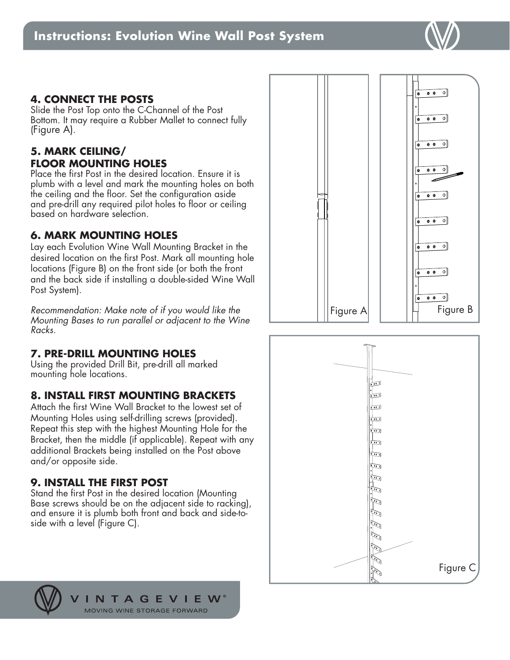**4. CONNECT THE POSTS** Slide the Post Top onto the C-Channel of the Post Bottom. It may require a Rubber Mallet to connect fully (Figure A).

# **5. MARK CEILING/ FLOOR MOUNTING HOLES**

Place the first Post in the desired location. Ensure it is plumb with a level and mark the mounting holes on both the ceiling and the floor. Set the configuration aside and pre-drill any required pilot holes to floor or ceiling based on hardware selection.

# **6. MARK MOUNTING HOLES**

Lay each Evolution Wine Wall Mounting Bracket in the desired location on the first Post. Mark all mounting hole locations (Figure B) on the front side (or both the front and the back side if installing a double-sided Wine Wall Post System).

*Recommendation: Make note of if you would like the Mounting Bases to run parallel or adjacent to the Wine Racks.* 

# **7. PRE-DRILL MOUNTING HOLES**

Using the provided Drill Bit, pre-drill all marked mounting hole locations.

# **8. INSTALL FIRST MOUNTING BRACKETS**

Attach the first Wine Wall Bracket to the lowest set of Mounting Holes using self-drilling screws (provided). Repeat this step with the highest Mounting Hole for the Bracket, then the middle (if applicable). Repeat with any additional Brackets being installed on the Post above and/or opposite side.

# **9. INSTALL THE FIRST POST**

Stand the first Post in the desired location (Mounting Base screws should be on the adjacent side to racking), and ensure it is plumb both front and back and side-toside with a level (Figure C).





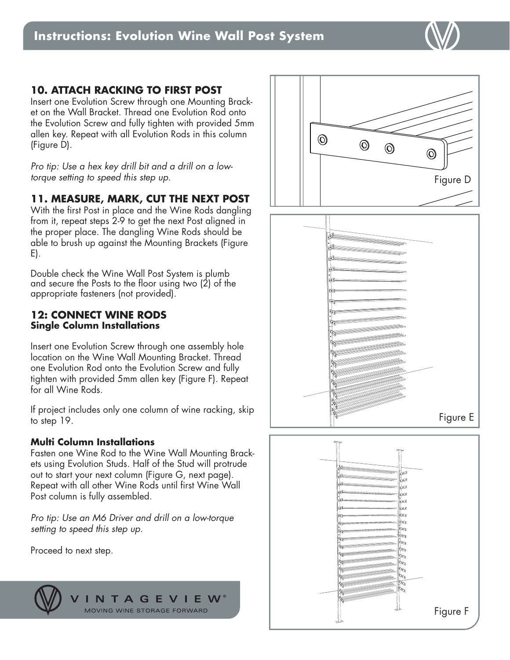# **10. ATTACH RACKING TO FIRST POST**

Insert one Evolution Screw through one Mounting Bracket on the Wall Bracket. Thread one Evolution Rod onto the Evolution Screw and fully tighten with provided 5mm allen key. Repeat with all Evolution Rods in this column (Figure D).

*Pro tip: Use a hex key drill bit and a drill on a lowtorque setting to speed this step up.* 

#### **11. MEASURE, MARK, CUT THE NEXT POST**

With the first Post in place and the Wine Rods dangling from it, repeat steps 2-9 to get the next Post aligned in the proper place. The dangling Wine Rods should be able to brush up against the Mounting Brackets (Figure E).

Double check the Wine Wall Post System is plumb and secure the Posts to the floor using two (2) of the appropriate fasteners (not provided).

#### **12: CONNECT WINE RODS Single Column Installations**

Insert one Evolution Screw through one assembly hole location on the Wine Wall Mounting Bracket. Thread one Evolution Rod onto the Evolution Screw and fully tighten with provided 5mm allen key (Figure F). Repeat for all Wine Rods.

If project includes only one column of wine racking, skip to step 19.

#### **Multi Column Installations**

Fasten one Wine Rod to the Wine Wall Mounting Brackets using Evolution Studs. Half of the Stud will protrude out to start your next column (Figure G, next page). Repeat with all other Wine Rods until first Wine Wall Post column is fully assembled.

*Pro tip: Use an M6 Driver and drill on a low-torque setting to speed this step up.* 

Proceed to next step.